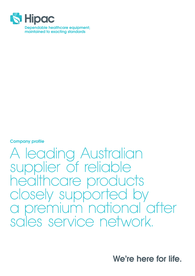

Company profile

A leading Australian supplier of reliable healthcare products closely supported by a premium national after sales service network.

We're here for life.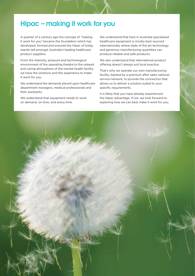## Hipac – making it work for you

A quarter of a century ago the concept of "making it work for you" became the foundation which has developed, formed and ensured the Hipac of today stands tall amongst Australia's leading healthcare product suppliers.

From the intensity, pressure and technological environment of the operating theatre to the relaxed and caring atmosphere of the mental health facility, we have the solutions and the experience to make it work for you.

We understand the demands placed upon healthcare department managers, medical professionals and their assistants.

We understand that equipment needs to work on demand, on time, and every time.

We understand that here in Australia specialised healthcare equipment is mostly best sourced internationally where state of the art technology and generous manufacturing quantities can produce reliable and safe products.

We also understand that international product offering doesn't always suit local practice.

That's why we operate our own manufacturing facility, backed by a premium after sales national service network, to provide the connection that allows us to deliver a solution suited to your specific requirements.

It is likely that you have already experienced the Hipac advantage. If not, we look forward to exploring how we can best make it work for you.

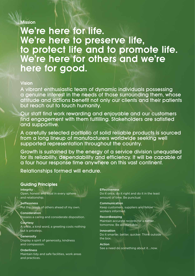### Mission

# **We're here for life. We're here to preserve life, to protect life and to promote life. We're here for others and we're here for good.**

### Vision

A vibrant enthusiastic team of dynamic individuals possessing a genuine interest in the needs of those surrounding them, whose attitude and actions benefit not only our clients and their patients but reach out to touch humanity.

Our staff find work rewarding and enjoyable and our customers find engagement with them fulfilling. Stakeholders are satisfied and supportive.

A carefully selected portfolio of solid reliable products is sourced from a long lineup of manufacturers worldwide seeking well supported representation throughout the country.

Growth is sustained by the energy of a service division unequalled for its reliability, dependability and efficiency. It will be capable of a four hour response time anywhere on this vast continent.

Relationships formed will endure.

### Guiding Principles

#### Integrity

Open, honest and loyal in every sphere and relationship.

Selflessness Put the needs of others ahead of my own.

#### Consideration Possess a caring and considerate disposition.

**Courtesy** A smile, a kind word, a greeting costs nothing but is priceless.

**Generosity** Display a spirit of generosity, kindness and compassion.

**Orderliness** Maintain tidy and safe facilities, work areas and practices.

#### **Effectiveness**

Do it once, do it right and do it in the least amount of time. Be punctual.

Communication Keep customers, suppliers and fellow workers informed.

Recordkeeping Maintain accurate records for a better tomorrow. Be accountable.

Innovation Do it smarter, better, quicker. Think outside the box.

Action See a need do something about it….now.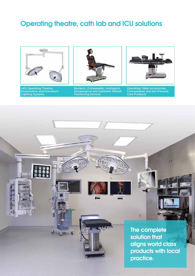## Operating theatre, cath lab and ICU solutions







Bariatric, Orthopaedic, Urological, Gynaelogical and Ophalmic Patient Positioning Devices



Operating Table Accessories, Consumables and Gel Pressure Care Products

00 The complete  $\overline{u}$ ഩ solution that aligns world class products with local practice.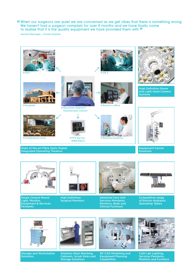When our surgeons are quiet we are concerned as we get vibes that there is something wrong. " We haven't had a surgeon complain for over 8 months and we have finally come<br>to realise that it is the quality equipment we have provided them with **"** to realise that it is the quality equipment we have provided them with."

General Manager – Private Hospital





Single Central Mount Light, Monitor, Equipment & Services **Pendants** 

High Definition Surgical Monitors Intensive Care Unit Services Pendants, Monitors, Beds and

Clinical Furniture

Competitive range of Electro Hydraulic Operating Tables



Storage and Workstation **Solutions** 



Stainless Steel Warming Cabinets, Scrub Sinks and Storage Solutions



3D CAD Modelling and Equipment Planning Capabilities



Cath Lab Lighting, Services Pendants, Monitors and Furniture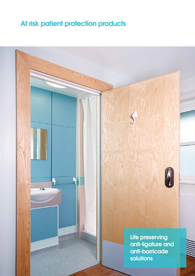## At risk patient protection products

 $\sqrt{M}$ 

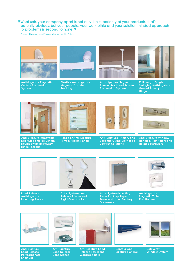#### What sets your company apart is not only the superiority of your products, that's " patently obvious, but your people, your work ethic and your solution minded approach to problems is second to none.**"**

General Manager – Private Mental Health Clinic



Anti-Ligature Magnetic Curtain Suspension System



Flexible Anti-Ligature Magnetic Curtain **Tracking** 



Anti-Ligature Magnetic Shower Track and Screen Suspension System



Full Length Single Swinging Anti-Ligature Geared Privacy Hinge



Anti-Ligature Removable Door Stop and Full Length Double Swinging Privacy Hinge Package



Range of Anti-Ligature Privacy Vision Panels



Anti-Ligature Primary and Secondary Anti-Barricade Lockset Solutions



Anti-Ligature Window Handles, Restrictors and Related Hardware



Load Release Anti-Ligature Mounting Plates



Anti-Ligature Load Release Pliable and Rigid Coat Hooks



Anti-Ligature Mounting Plates for Soap, Paper Towel and other Sanitary **Dispensers** 



Anti-Ligature Magnetic Toilet Roll Holders



Anti-Ligature Load Release Polycarbonate Shelf Set

Anti-Ligature Load Release Soap Dishes

Anti-Ligature Load Release Towel and Wardrobe Rails

Contour Anti-Ligature Handrail

Safevent<sup>®</sup> Window System